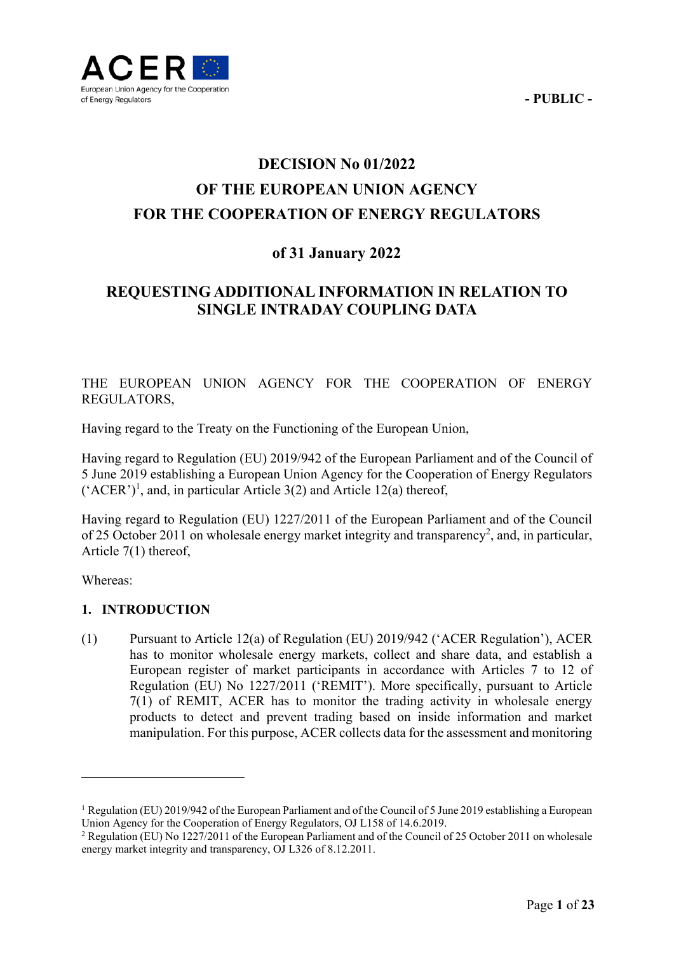

# **DECISION No 01/2022 OF THE EUROPEAN UNION AGENCY FOR THE COOPERATION OF ENERGY REGULATORS**

# **of 31 January 2022**

# **REQUESTING ADDITIONAL INFORMATION IN RELATION TO SINGLE INTRADAY COUPLING DATA**

THE EUROPEAN UNION AGENCY FOR THE COOPERATION OF ENERGY REGULATORS,

Having regard to the Treaty on the Functioning of the European Union,

Having regard to Regulation (EU) 2019/942 of the European Parliament and of the Council of 5 June 2019 establishing a European Union Agency for the Cooperation of Energy Regulators  $({}^{4}$ ACER'<sup>1</sup>, and, in particular Article 3(2) and Article 12(a) thereof,

Having regard to Regulation (EU) 1227/2011 of the European Parliament and of the Council of 25 October 2011 on wholesale energy market integrity and transparency<sup>2</sup>, and, in particular, Article 7(1) thereof,

Whereas:

<u>.</u>

### **1. INTRODUCTION**

(1) Pursuant to Article 12(a) of Regulation (EU) 2019/942 ('ACER Regulation'), ACER has to monitor wholesale energy markets, collect and share data, and establish a European register of market participants in accordance with Articles 7 to 12 of Regulation (EU) No 1227/2011 ('REMIT'). More specifically, pursuant to Article 7(1) of REMIT, ACER has to monitor the trading activity in wholesale energy products to detect and prevent trading based on inside information and market manipulation. For this purpose, ACER collects data for the assessment and monitoring

<sup>&</sup>lt;sup>1</sup> Regulation (EU) 2019/942 of the European Parliament and of the Council of 5 June 2019 establishing a European Union Agency for the Cooperation of Energy Regulators, OJ L158 of 14.6.2019. 2

<sup>&</sup>lt;sup>2</sup> Regulation (EU) No 1227/2011 of the European Parliament and of the Council of 25 October 2011 on wholesale energy market integrity and transparency, OJ L326 of 8.12.2011.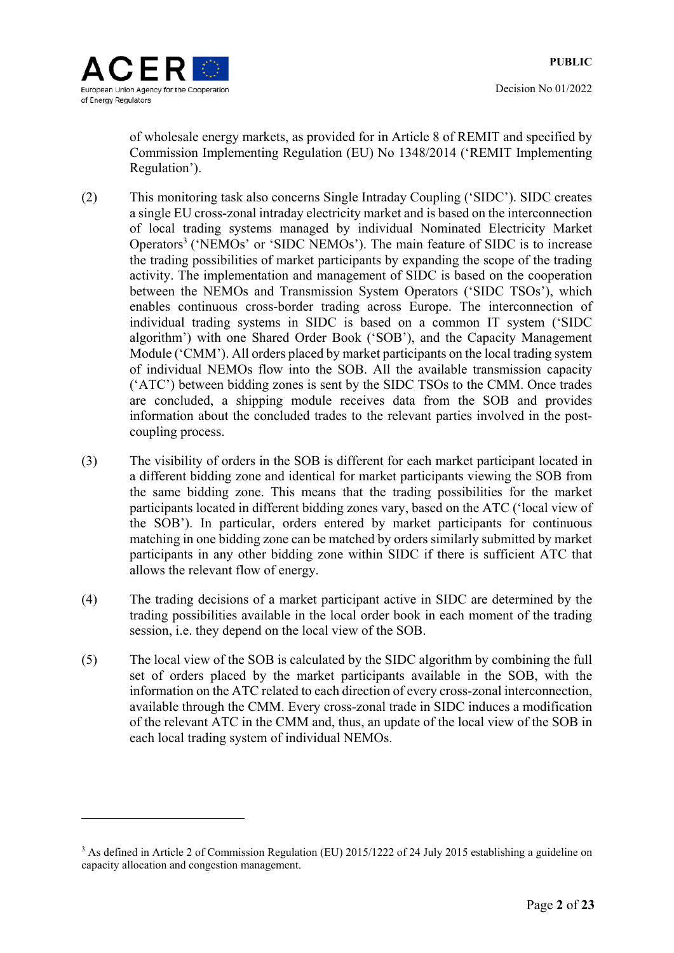Decision No 01/2022

of wholesale energy markets, as provided for in Article 8 of REMIT and specified by Commission Implementing Regulation (EU) No 1348/2014 ('REMIT Implementing Regulation').

- (2) This monitoring task also concerns Single Intraday Coupling ('SIDC'). SIDC creates a single EU cross-zonal intraday electricity market and is based on the interconnection of local trading systems managed by individual Nominated Electricity Market Operators<sup>3</sup> ('NEMOs' or 'SIDC NEMOs'). The main feature of SIDC is to increase the trading possibilities of market participants by expanding the scope of the trading activity. The implementation and management of SIDC is based on the cooperation between the NEMOs and Transmission System Operators ('SIDC TSOs'), which enables continuous cross-border trading across Europe. The interconnection of individual trading systems in SIDC is based on a common IT system ('SIDC algorithm') with one Shared Order Book ('SOB'), and the Capacity Management Module ('CMM'). All orders placed by market participants on the local trading system of individual NEMOs flow into the SOB. All the available transmission capacity ('ATC') between bidding zones is sent by the SIDC TSOs to the CMM. Once trades are concluded, a shipping module receives data from the SOB and provides information about the concluded trades to the relevant parties involved in the postcoupling process.
- (3) The visibility of orders in the SOB is different for each market participant located in a different bidding zone and identical for market participants viewing the SOB from the same bidding zone. This means that the trading possibilities for the market participants located in different bidding zones vary, based on the ATC ('local view of the SOB'). In particular, orders entered by market participants for continuous matching in one bidding zone can be matched by orders similarly submitted by market participants in any other bidding zone within SIDC if there is sufficient ATC that allows the relevant flow of energy.
- (4) The trading decisions of a market participant active in SIDC are determined by the trading possibilities available in the local order book in each moment of the trading session, i.e. they depend on the local view of the SOB.
- (5) The local view of the SOB is calculated by the SIDC algorithm by combining the full set of orders placed by the market participants available in the SOB, with the information on the ATC related to each direction of every cross-zonal interconnection, available through the CMM. Every cross-zonal trade in SIDC induces a modification of the relevant ATC in the CMM and, thus, an update of the local view of the SOB in each local trading system of individual NEMOs.

<sup>&</sup>lt;sup>3</sup> As defined in Article 2 of Commission Regulation (EU) 2015/1222 of 24 July 2015 establishing a guideline on capacity allocation and congestion management.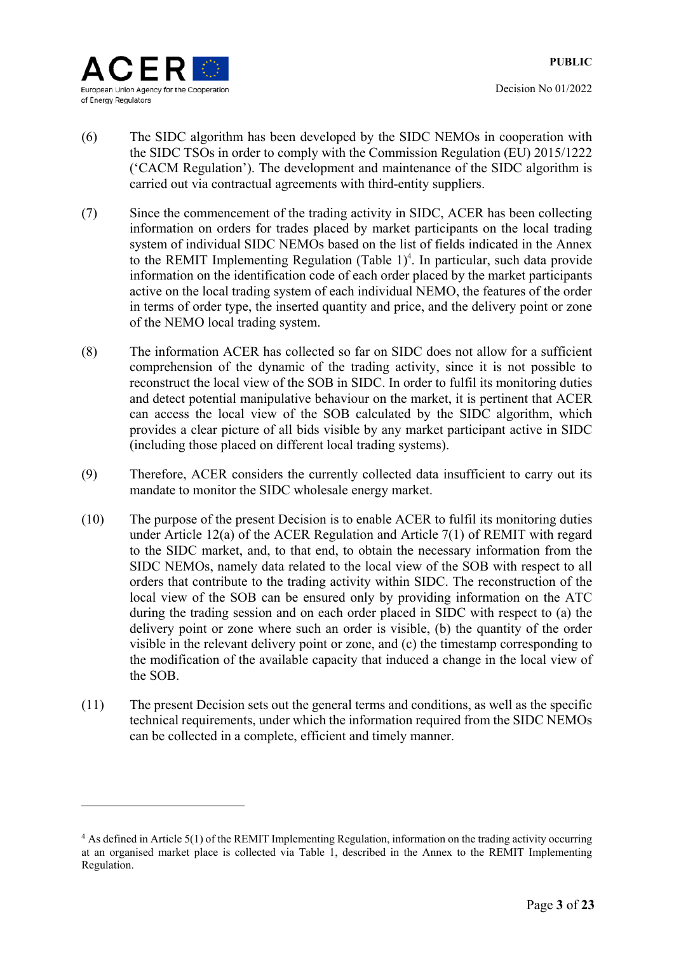Decision No 01/2022

- (6) The SIDC algorithm has been developed by the SIDC NEMOs in cooperation with the SIDC TSOs in order to comply with the Commission Regulation (EU) 2015/1222 ('CACM Regulation'). The development and maintenance of the SIDC algorithm is carried out via contractual agreements with third-entity suppliers.
- (7) Since the commencement of the trading activity in SIDC, ACER has been collecting information on orders for trades placed by market participants on the local trading system of individual SIDC NEMOs based on the list of fields indicated in the Annex to the REMIT Implementing Regulation (Table  $1)^4$ . In particular, such data provide information on the identification code of each order placed by the market participants active on the local trading system of each individual NEMO, the features of the order in terms of order type, the inserted quantity and price, and the delivery point or zone of the NEMO local trading system.
- (8) The information ACER has collected so far on SIDC does not allow for a sufficient comprehension of the dynamic of the trading activity, since it is not possible to reconstruct the local view of the SOB in SIDC. In order to fulfil its monitoring duties and detect potential manipulative behaviour on the market, it is pertinent that ACER can access the local view of the SOB calculated by the SIDC algorithm, which provides a clear picture of all bids visible by any market participant active in SIDC (including those placed on different local trading systems).
- (9) Therefore, ACER considers the currently collected data insufficient to carry out its mandate to monitor the SIDC wholesale energy market.
- (10) The purpose of the present Decision is to enable ACER to fulfil its monitoring duties under Article 12(a) of the ACER Regulation and Article 7(1) of REMIT with regard to the SIDC market, and, to that end, to obtain the necessary information from the SIDC NEMOs, namely data related to the local view of the SOB with respect to all orders that contribute to the trading activity within SIDC. The reconstruction of the local view of the SOB can be ensured only by providing information on the ATC during the trading session and on each order placed in SIDC with respect to (a) the delivery point or zone where such an order is visible, (b) the quantity of the order visible in the relevant delivery point or zone, and (c) the timestamp corresponding to the modification of the available capacity that induced a change in the local view of the SOB.
- (11) The present Decision sets out the general terms and conditions, as well as the specific technical requirements, under which the information required from the SIDC NEMOs can be collected in a complete, efficient and timely manner.

<sup>&</sup>lt;sup>4</sup> As defined in Article 5(1) of the REMIT Implementing Regulation, information on the trading activity occurring at an organised market place is collected via Table 1, described in the Annex to the REMIT Implementing Regulation.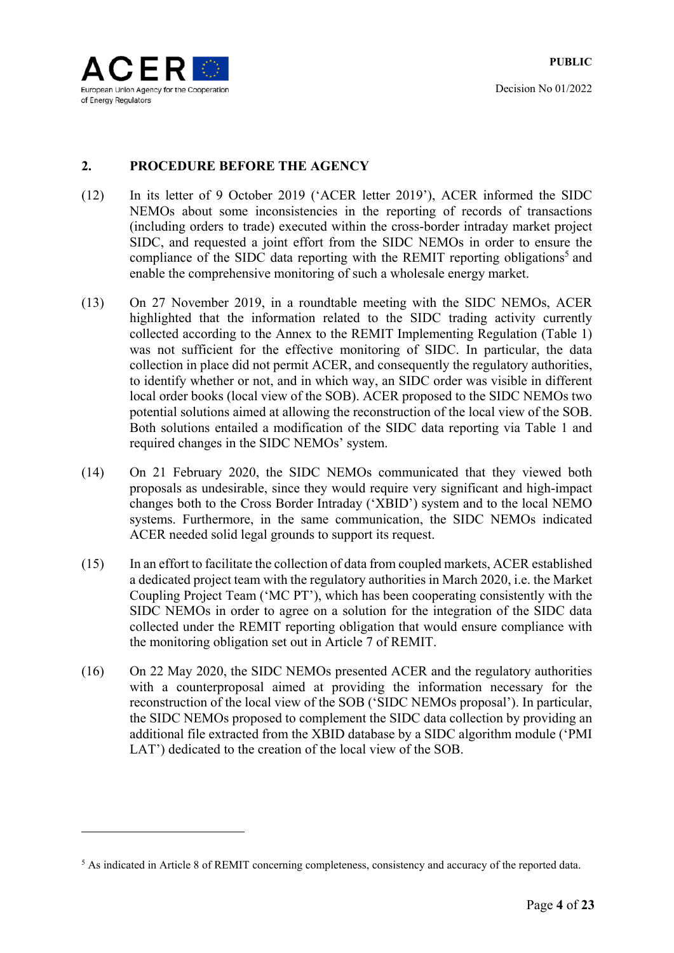

<u>.</u>

# **2. PROCEDURE BEFORE THE AGENCY**

- (12) In its letter of 9 October 2019 ('ACER letter 2019'), ACER informed the SIDC NEMOs about some inconsistencies in the reporting of records of transactions (including orders to trade) executed within the cross-border intraday market project SIDC, and requested a joint effort from the SIDC NEMOs in order to ensure the compliance of the SIDC data reporting with the REMIT reporting obligations<sup>5</sup> and enable the comprehensive monitoring of such a wholesale energy market.
- (13) On 27 November 2019, in a roundtable meeting with the SIDC NEMOs, ACER highlighted that the information related to the SIDC trading activity currently collected according to the Annex to the REMIT Implementing Regulation (Table 1) was not sufficient for the effective monitoring of SIDC. In particular, the data collection in place did not permit ACER, and consequently the regulatory authorities, to identify whether or not, and in which way, an SIDC order was visible in different local order books (local view of the SOB). ACER proposed to the SIDC NEMOs two potential solutions aimed at allowing the reconstruction of the local view of the SOB. Both solutions entailed a modification of the SIDC data reporting via Table 1 and required changes in the SIDC NEMOs' system.
- (14) On 21 February 2020, the SIDC NEMOs communicated that they viewed both proposals as undesirable, since they would require very significant and high-impact changes both to the Cross Border Intraday ('XBID') system and to the local NEMO systems. Furthermore, in the same communication, the SIDC NEMOs indicated ACER needed solid legal grounds to support its request.
- (15) In an effort to facilitate the collection of data from coupled markets, ACER established a dedicated project team with the regulatory authorities in March 2020, i.e. the Market Coupling Project Team ('MC PT'), which has been cooperating consistently with the SIDC NEMOs in order to agree on a solution for the integration of the SIDC data collected under the REMIT reporting obligation that would ensure compliance with the monitoring obligation set out in Article 7 of REMIT.
- (16) On 22 May 2020, the SIDC NEMOs presented ACER and the regulatory authorities with a counterproposal aimed at providing the information necessary for the reconstruction of the local view of the SOB ('SIDC NEMOs proposal'). In particular, the SIDC NEMOs proposed to complement the SIDC data collection by providing an additional file extracted from the XBID database by a SIDC algorithm module ('PMI LAT') dedicated to the creation of the local view of the SOB.

<sup>&</sup>lt;sup>5</sup> As indicated in Article 8 of REMIT concerning completeness, consistency and accuracy of the reported data.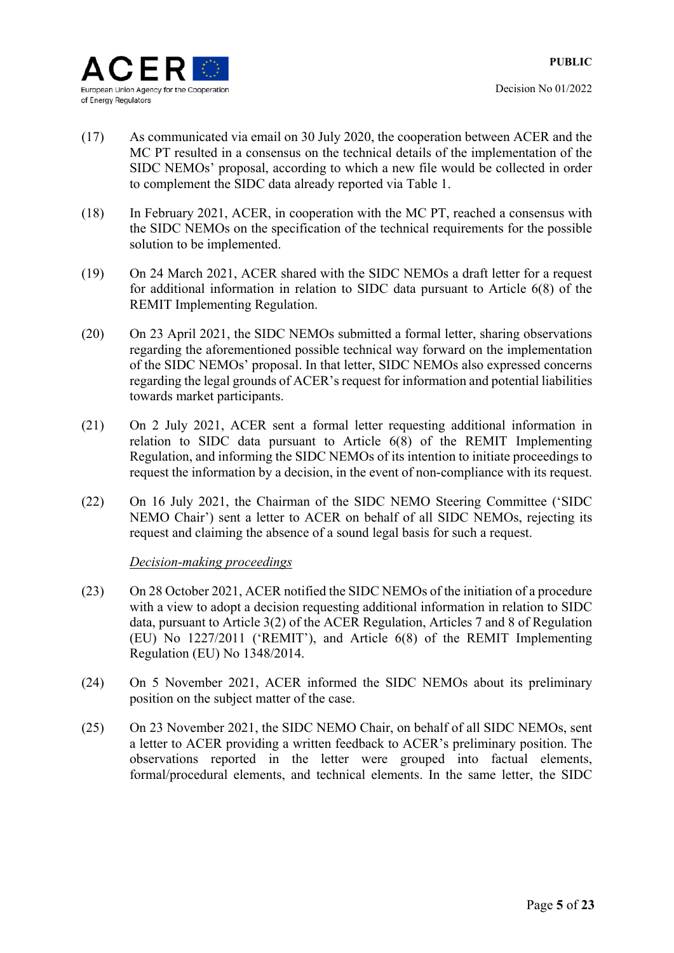- (17) As communicated via email on 30 July 2020, the cooperation between ACER and the MC PT resulted in a consensus on the technical details of the implementation of the SIDC NEMOs' proposal, according to which a new file would be collected in order to complement the SIDC data already reported via Table 1.
- (18) In February 2021, ACER, in cooperation with the MC PT, reached a consensus with the SIDC NEMOs on the specification of the technical requirements for the possible solution to be implemented.
- (19) On 24 March 2021, ACER shared with the SIDC NEMOs a draft letter for a request for additional information in relation to SIDC data pursuant to Article 6(8) of the REMIT Implementing Regulation.
- (20) On 23 April 2021, the SIDC NEMOs submitted a formal letter, sharing observations regarding the aforementioned possible technical way forward on the implementation of the SIDC NEMOs' proposal. In that letter, SIDC NEMOs also expressed concerns regarding the legal grounds of ACER's request for information and potential liabilities towards market participants.
- (21) On 2 July 2021, ACER sent a formal letter requesting additional information in relation to SIDC data pursuant to Article 6(8) of the REMIT Implementing Regulation, and informing the SIDC NEMOs of its intention to initiate proceedings to request the information by a decision, in the event of non-compliance with its request.
- (22) On 16 July 2021, the Chairman of the SIDC NEMO Steering Committee ('SIDC NEMO Chair') sent a letter to ACER on behalf of all SIDC NEMOs, rejecting its request and claiming the absence of a sound legal basis for such a request.

### *Decision-making proceedings*

- (23) On 28 October 2021, ACER notified the SIDC NEMOs of the initiation of a procedure with a view to adopt a decision requesting additional information in relation to SIDC data, pursuant to Article 3(2) of the ACER Regulation, Articles 7 and 8 of Regulation (EU) No 1227/2011 ('REMIT'), and Article 6(8) of the REMIT Implementing Regulation (EU) No 1348/2014.
- (24) On 5 November 2021, ACER informed the SIDC NEMOs about its preliminary position on the subject matter of the case.
- (25) On 23 November 2021, the SIDC NEMO Chair, on behalf of all SIDC NEMOs, sent a letter to ACER providing a written feedback to ACER's preliminary position. The observations reported in the letter were grouped into factual elements, formal/procedural elements, and technical elements. In the same letter, the SIDC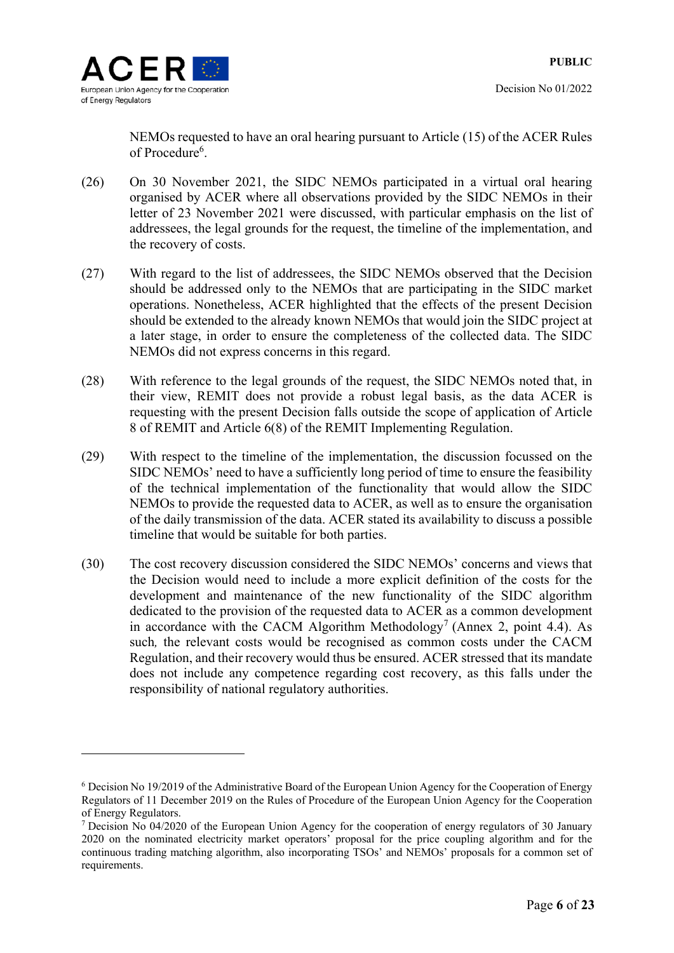

NEMOs requested to have an oral hearing pursuant to Article (15) of the ACER Rules of Procedure<sup>6</sup>.

- (26) On 30 November 2021, the SIDC NEMOs participated in a virtual oral hearing organised by ACER where all observations provided by the SIDC NEMOs in their letter of 23 November 2021 were discussed, with particular emphasis on the list of addressees, the legal grounds for the request, the timeline of the implementation, and the recovery of costs.
- (27) With regard to the list of addressees, the SIDC NEMOs observed that the Decision should be addressed only to the NEMOs that are participating in the SIDC market operations. Nonetheless, ACER highlighted that the effects of the present Decision should be extended to the already known NEMOs that would join the SIDC project at a later stage, in order to ensure the completeness of the collected data. The SIDC NEMOs did not express concerns in this regard.
- (28) With reference to the legal grounds of the request, the SIDC NEMOs noted that, in their view, REMIT does not provide a robust legal basis, as the data ACER is requesting with the present Decision falls outside the scope of application of Article 8 of REMIT and Article 6(8) of the REMIT Implementing Regulation.
- (29) With respect to the timeline of the implementation, the discussion focussed on the SIDC NEMOs' need to have a sufficiently long period of time to ensure the feasibility of the technical implementation of the functionality that would allow the SIDC NEMOs to provide the requested data to ACER, as well as to ensure the organisation of the daily transmission of the data. ACER stated its availability to discuss a possible timeline that would be suitable for both parties.
- (30) The cost recovery discussion considered the SIDC NEMOs' concerns and views that the Decision would need to include a more explicit definition of the costs for the development and maintenance of the new functionality of the SIDC algorithm dedicated to the provision of the requested data to ACER as a common development in accordance with the CACM Algorithm Methodology<sup>7</sup> (Annex 2, point 4.4). As such*,* the relevant costs would be recognised as common costs under the CACM Regulation, and their recovery would thus be ensured. ACER stressed that its mandate does not include any competence regarding cost recovery, as this falls under the responsibility of national regulatory authorities.

<sup>&</sup>lt;sup>6</sup> Decision No 19/2019 of the Administrative Board of the European Union Agency for the Cooperation of Energy Regulators of 11 December 2019 on the Rules of Procedure of the European Union Agency for the Cooperation of Energy Regulators.

<sup>&</sup>lt;sup>7</sup> Decision No 04/2020 of the European Union Agency for the cooperation of energy regulators of 30 January 2020 on the nominated electricity market operators' proposal for the price coupling algorithm and for the continuous trading matching algorithm, also incorporating TSOs' and NEMOs' proposals for a common set of requirements.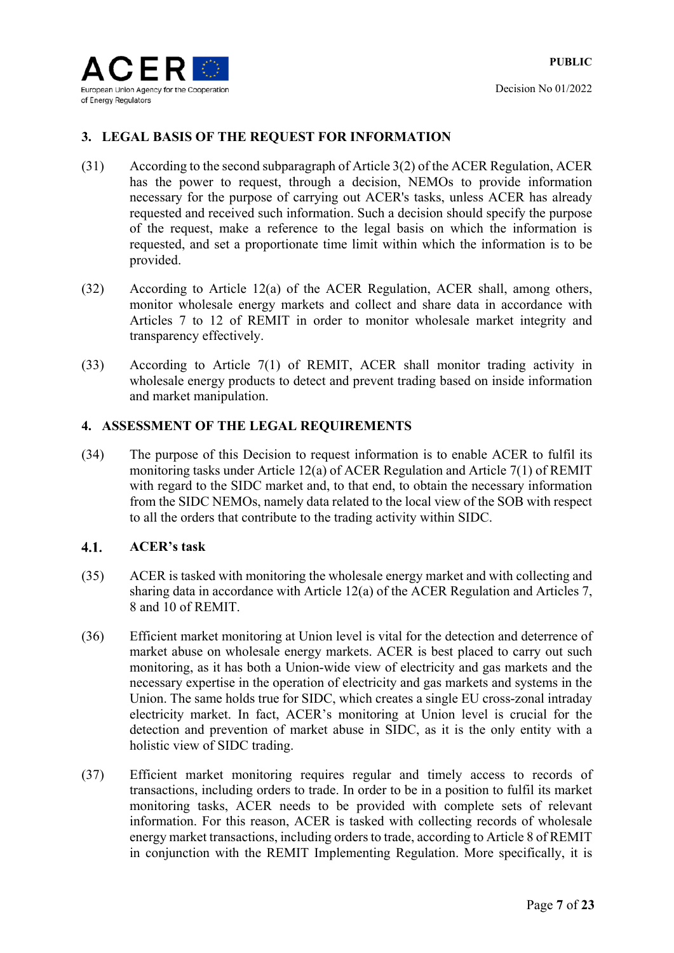

# **3. LEGAL BASIS OF THE REQUEST FOR INFORMATION**

- (31) According to the second subparagraph of Article 3(2) of the ACER Regulation, ACER has the power to request, through a decision, NEMOs to provide information necessary for the purpose of carrying out ACER's tasks, unless ACER has already requested and received such information. Such a decision should specify the purpose of the request, make a reference to the legal basis on which the information is requested, and set a proportionate time limit within which the information is to be provided.
- (32) According to Article 12(a) of the ACER Regulation, ACER shall, among others, monitor wholesale energy markets and collect and share data in accordance with Articles 7 to 12 of REMIT in order to monitor wholesale market integrity and transparency effectively.
- (33) According to Article 7(1) of REMIT, ACER shall monitor trading activity in wholesale energy products to detect and prevent trading based on inside information and market manipulation.

# **4. ASSESSMENT OF THE LEGAL REQUIREMENTS**

(34) The purpose of this Decision to request information is to enable ACER to fulfil its monitoring tasks under Article 12(a) of ACER Regulation and Article 7(1) of REMIT with regard to the SIDC market and, to that end, to obtain the necessary information from the SIDC NEMOs, namely data related to the local view of the SOB with respect to all the orders that contribute to the trading activity within SIDC.

#### $4.1.$ **ACER's task**

- (35) ACER is tasked with monitoring the wholesale energy market and with collecting and sharing data in accordance with Article 12(a) of the ACER Regulation and Articles 7, 8 and 10 of REMIT.
- (36) Efficient market monitoring at Union level is vital for the detection and deterrence of market abuse on wholesale energy markets. ACER is best placed to carry out such monitoring, as it has both a Union-wide view of electricity and gas markets and the necessary expertise in the operation of electricity and gas markets and systems in the Union. The same holds true for SIDC, which creates a single EU cross-zonal intraday electricity market. In fact, ACER's monitoring at Union level is crucial for the detection and prevention of market abuse in SIDC, as it is the only entity with a holistic view of SIDC trading.
- (37) Efficient market monitoring requires regular and timely access to records of transactions, including orders to trade. In order to be in a position to fulfil its market monitoring tasks, ACER needs to be provided with complete sets of relevant information. For this reason, ACER is tasked with collecting records of wholesale energy market transactions, including orders to trade, according to Article 8 of REMIT in conjunction with the REMIT Implementing Regulation. More specifically, it is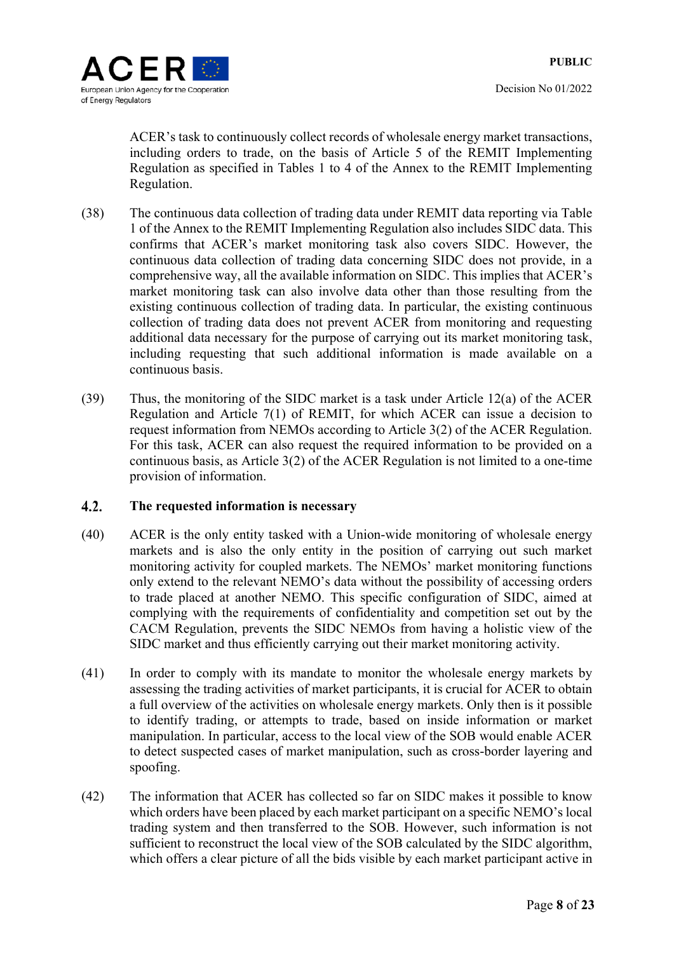

Decision No 01/2022

ACER's task to continuously collect records of wholesale energy market transactions, including orders to trade, on the basis of Article 5 of the REMIT Implementing Regulation as specified in Tables 1 to 4 of the Annex to the REMIT Implementing Regulation.

- (38) The continuous data collection of trading data under REMIT data reporting via Table 1 of the Annex to the REMIT Implementing Regulation also includes SIDC data. This confirms that ACER's market monitoring task also covers SIDC. However, the continuous data collection of trading data concerning SIDC does not provide, in a comprehensive way, all the available information on SIDC. This implies that ACER's market monitoring task can also involve data other than those resulting from the existing continuous collection of trading data. In particular, the existing continuous collection of trading data does not prevent ACER from monitoring and requesting additional data necessary for the purpose of carrying out its market monitoring task, including requesting that such additional information is made available on a continuous basis.
- (39) Thus, the monitoring of the SIDC market is a task under Article 12(a) of the ACER Regulation and Article 7(1) of REMIT, for which ACER can issue a decision to request information from NEMOs according to Article 3(2) of the ACER Regulation. For this task, ACER can also request the required information to be provided on a continuous basis, as Article 3(2) of the ACER Regulation is not limited to a one-time provision of information.

#### $4.2.$ **The requested information is necessary**

- (40) ACER is the only entity tasked with a Union-wide monitoring of wholesale energy markets and is also the only entity in the position of carrying out such market monitoring activity for coupled markets. The NEMOs' market monitoring functions only extend to the relevant NEMO's data without the possibility of accessing orders to trade placed at another NEMO. This specific configuration of SIDC, aimed at complying with the requirements of confidentiality and competition set out by the CACM Regulation, prevents the SIDC NEMOs from having a holistic view of the SIDC market and thus efficiently carrying out their market monitoring activity.
- (41) In order to comply with its mandate to monitor the wholesale energy markets by assessing the trading activities of market participants, it is crucial for ACER to obtain a full overview of the activities on wholesale energy markets. Only then is it possible to identify trading, or attempts to trade, based on inside information or market manipulation. In particular, access to the local view of the SOB would enable ACER to detect suspected cases of market manipulation, such as cross-border layering and spoofing.
- (42) The information that ACER has collected so far on SIDC makes it possible to know which orders have been placed by each market participant on a specific NEMO's local trading system and then transferred to the SOB. However, such information is not sufficient to reconstruct the local view of the SOB calculated by the SIDC algorithm, which offers a clear picture of all the bids visible by each market participant active in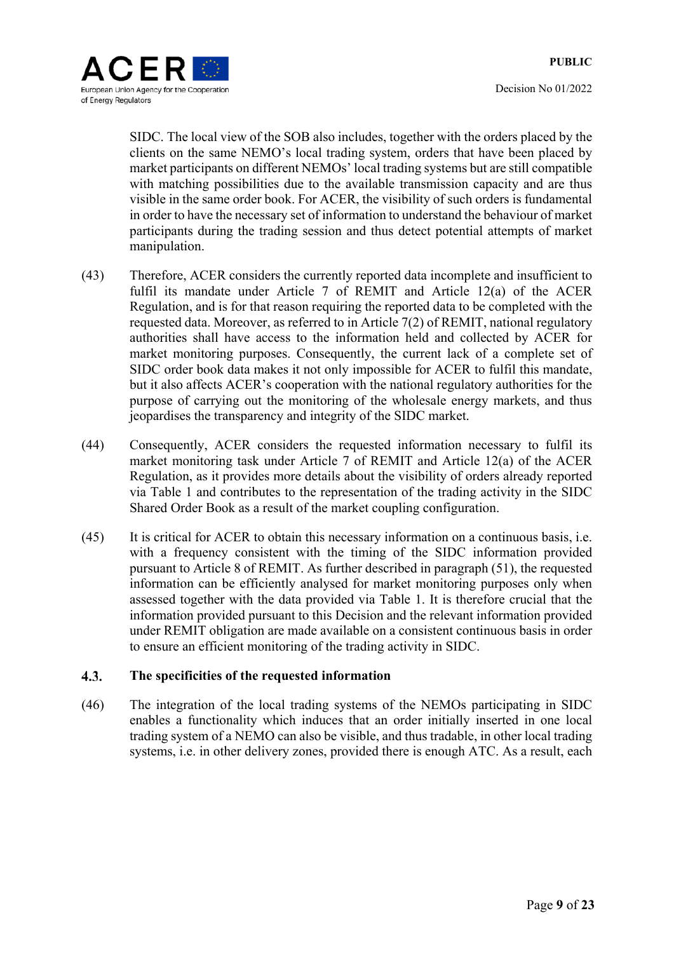

Decision No 01/2022

SIDC. The local view of the SOB also includes, together with the orders placed by the clients on the same NEMO's local trading system, orders that have been placed by market participants on different NEMOs' local trading systems but are still compatible with matching possibilities due to the available transmission capacity and are thus visible in the same order book. For ACER, the visibility of such orders is fundamental in order to have the necessary set of information to understand the behaviour of market participants during the trading session and thus detect potential attempts of market manipulation.

- (43) Therefore, ACER considers the currently reported data incomplete and insufficient to fulfil its mandate under Article 7 of REMIT and Article 12(a) of the ACER Regulation, and is for that reason requiring the reported data to be completed with the requested data. Moreover, as referred to in Article 7(2) of REMIT, national regulatory authorities shall have access to the information held and collected by ACER for market monitoring purposes. Consequently, the current lack of a complete set of SIDC order book data makes it not only impossible for ACER to fulfil this mandate, but it also affects ACER's cooperation with the national regulatory authorities for the purpose of carrying out the monitoring of the wholesale energy markets, and thus jeopardises the transparency and integrity of the SIDC market.
- (44) Consequently, ACER considers the requested information necessary to fulfil its market monitoring task under Article 7 of REMIT and Article 12(a) of the ACER Regulation, as it provides more details about the visibility of orders already reported via Table 1 and contributes to the representation of the trading activity in the SIDC Shared Order Book as a result of the market coupling configuration.
- (45) It is critical for ACER to obtain this necessary information on a continuous basis, i.e. with a frequency consistent with the timing of the SIDC information provided pursuant to Article 8 of REMIT. As further described in paragraph (51), the requested information can be efficiently analysed for market monitoring purposes only when assessed together with the data provided via Table 1. It is therefore crucial that the information provided pursuant to this Decision and the relevant information provided under REMIT obligation are made available on a consistent continuous basis in order to ensure an efficient monitoring of the trading activity in SIDC.

#### **The specificities of the requested information**   $4.3.$

(46) The integration of the local trading systems of the NEMOs participating in SIDC enables a functionality which induces that an order initially inserted in one local trading system of a NEMO can also be visible, and thus tradable, in other local trading systems, i.e. in other delivery zones, provided there is enough ATC. As a result, each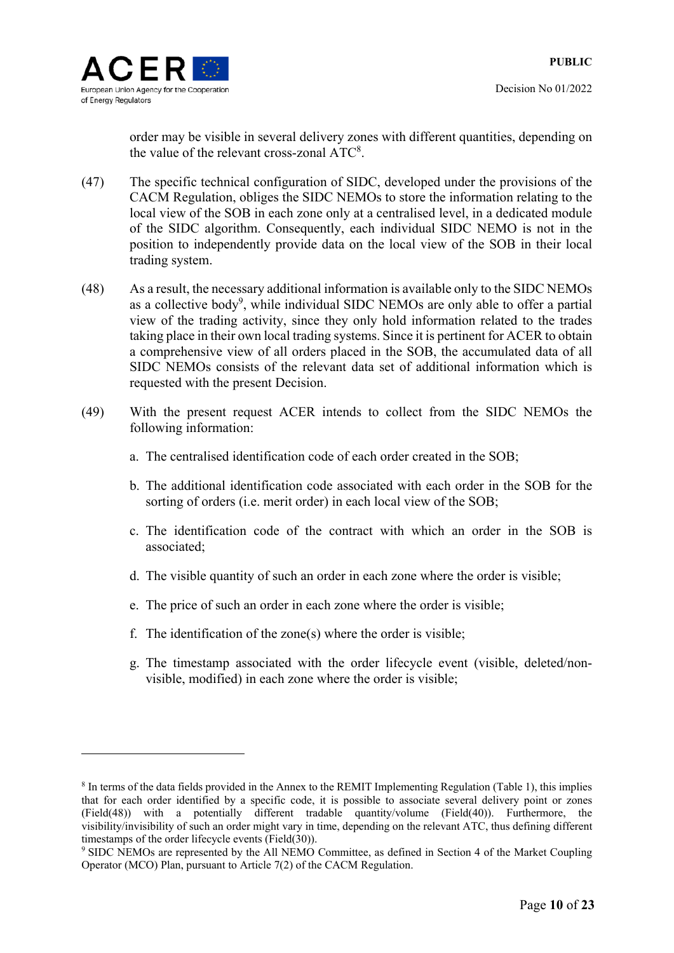

Decision No 01/2022

order may be visible in several delivery zones with different quantities, depending on the value of the relevant cross-zonal  $ATC<sup>8</sup>$ .

- (47) The specific technical configuration of SIDC, developed under the provisions of the CACM Regulation, obliges the SIDC NEMOs to store the information relating to the local view of the SOB in each zone only at a centralised level, in a dedicated module of the SIDC algorithm. Consequently, each individual SIDC NEMO is not in the position to independently provide data on the local view of the SOB in their local trading system.
- (48) As a result, the necessary additional information is available only to the SIDC NEMOs as a collective body<sup>9</sup>, while individual SIDC NEMOs are only able to offer a partial view of the trading activity, since they only hold information related to the trades taking place in their own local trading systems. Since it is pertinent for ACER to obtain a comprehensive view of all orders placed in the SOB, the accumulated data of all SIDC NEMOs consists of the relevant data set of additional information which is requested with the present Decision.
- (49) With the present request ACER intends to collect from the SIDC NEMOs the following information:
	- a. The centralised identification code of each order created in the SOB;
	- b. The additional identification code associated with each order in the SOB for the sorting of orders (i.e. merit order) in each local view of the SOB;
	- c. The identification code of the contract with which an order in the SOB is associated;
	- d. The visible quantity of such an order in each zone where the order is visible;
	- e. The price of such an order in each zone where the order is visible;
	- f. The identification of the zone(s) where the order is visible;
	- g. The timestamp associated with the order lifecycle event (visible, deleted/nonvisible, modified) in each zone where the order is visible;

<sup>&</sup>lt;sup>8</sup> In terms of the data fields provided in the Annex to the REMIT Implementing Regulation (Table 1), this implies that for each order identified by a specific code, it is possible to associate several delivery point or zones (Field(48)) with a potentially different tradable quantity/volume (Field(40)). Furthermore, the visibility/invisibility of such an order might vary in time, depending on the relevant ATC, thus defining different timestamps of the order lifecycle events (Field(30)).

<sup>&</sup>lt;sup>9</sup> SIDC NEMOs are represented by the All NEMO Committee, as defined in Section 4 of the Market Coupling Operator (MCO) Plan, pursuant to Article 7(2) of the CACM Regulation.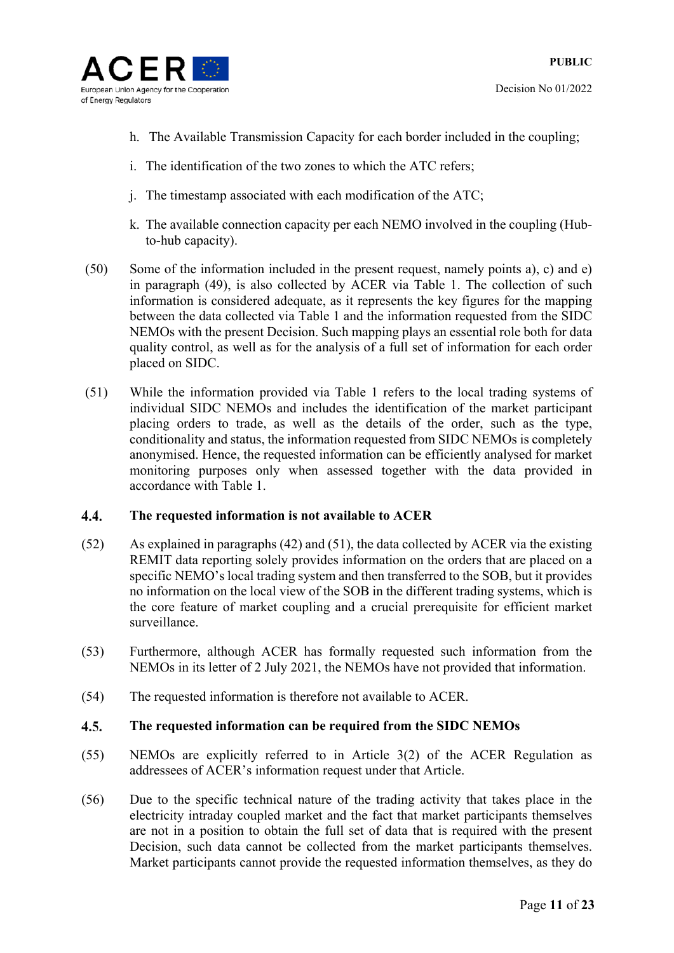

- h. The Available Transmission Capacity for each border included in the coupling;
- i. The identification of the two zones to which the ATC refers;
- j. The timestamp associated with each modification of the ATC;
- k. The available connection capacity per each NEMO involved in the coupling (Hubto-hub capacity).
- (50) Some of the information included in the present request, namely points a), c) and e) in paragraph (49), is also collected by ACER via Table 1. The collection of such information is considered adequate, as it represents the key figures for the mapping between the data collected via Table 1 and the information requested from the SIDC NEMOs with the present Decision. Such mapping plays an essential role both for data quality control, as well as for the analysis of a full set of information for each order placed on SIDC.
- (51) While the information provided via Table 1 refers to the local trading systems of individual SIDC NEMOs and includes the identification of the market participant placing orders to trade, as well as the details of the order, such as the type, conditionality and status, the information requested from SIDC NEMOs is completely anonymised. Hence, the requested information can be efficiently analysed for market monitoring purposes only when assessed together with the data provided in accordance with Table 1.

#### 4.4. **The requested information is not available to ACER**

- (52) As explained in paragraphs (42) and (51), the data collected by ACER via the existing REMIT data reporting solely provides information on the orders that are placed on a specific NEMO's local trading system and then transferred to the SOB, but it provides no information on the local view of the SOB in the different trading systems, which is the core feature of market coupling and a crucial prerequisite for efficient market surveillance.
- (53) Furthermore, although ACER has formally requested such information from the NEMOs in its letter of 2 July 2021, the NEMOs have not provided that information.
- (54) The requested information is therefore not available to ACER.

#### $4.5.$ **The requested information can be required from the SIDC NEMOs**

- (55) NEMOs are explicitly referred to in Article 3(2) of the ACER Regulation as addressees of ACER's information request under that Article.
- (56) Due to the specific technical nature of the trading activity that takes place in the electricity intraday coupled market and the fact that market participants themselves are not in a position to obtain the full set of data that is required with the present Decision, such data cannot be collected from the market participants themselves. Market participants cannot provide the requested information themselves, as they do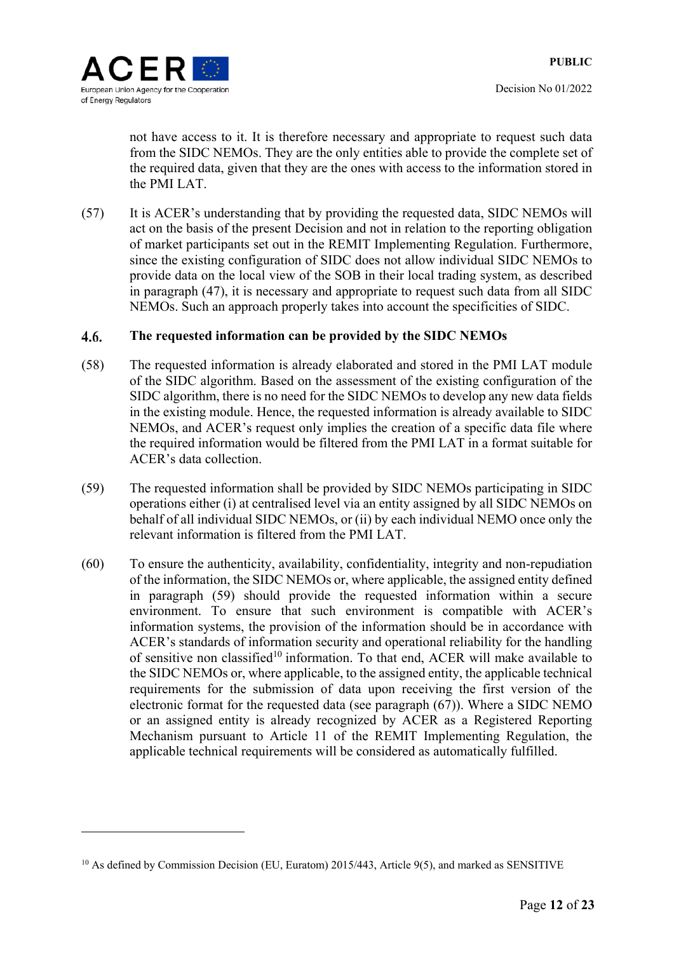<u>.</u>

not have access to it. It is therefore necessary and appropriate to request such data from the SIDC NEMOs. They are the only entities able to provide the complete set of the required data, given that they are the ones with access to the information stored in the PMI LAT.

(57) It is ACER's understanding that by providing the requested data, SIDC NEMOs will act on the basis of the present Decision and not in relation to the reporting obligation of market participants set out in the REMIT Implementing Regulation. Furthermore, since the existing configuration of SIDC does not allow individual SIDC NEMOs to provide data on the local view of the SOB in their local trading system, as described in paragraph (47), it is necessary and appropriate to request such data from all SIDC NEMOs. Such an approach properly takes into account the specificities of SIDC.

#### 4.6. **The requested information can be provided by the SIDC NEMOs**

- (58) The requested information is already elaborated and stored in the PMI LAT module of the SIDC algorithm. Based on the assessment of the existing configuration of the SIDC algorithm, there is no need for the SIDC NEMOs to develop any new data fields in the existing module. Hence, the requested information is already available to SIDC NEMOs, and ACER's request only implies the creation of a specific data file where the required information would be filtered from the PMI LAT in a format suitable for ACER's data collection.
- (59) The requested information shall be provided by SIDC NEMOs participating in SIDC operations either (i) at centralised level via an entity assigned by all SIDC NEMOs on behalf of all individual SIDC NEMOs, or (ii) by each individual NEMO once only the relevant information is filtered from the PMI LAT.
- (60) To ensure the authenticity, availability, confidentiality, integrity and non-repudiation of the information, the SIDC NEMOs or, where applicable, the assigned entity defined in paragraph (59) should provide the requested information within a secure environment. To ensure that such environment is compatible with ACER's information systems, the provision of the information should be in accordance with ACER's standards of information security and operational reliability for the handling of sensitive non classified<sup>10</sup> information. To that end, ACER will make available to the SIDC NEMOs or, where applicable, to the assigned entity, the applicable technical requirements for the submission of data upon receiving the first version of the electronic format for the requested data (see paragraph (67)). Where a SIDC NEMO or an assigned entity is already recognized by ACER as a Registered Reporting Mechanism pursuant to Article 11 of the REMIT Implementing Regulation, the applicable technical requirements will be considered as automatically fulfilled.

 $10$  As defined by Commission Decision (EU, Euratom) 2015/443, Article 9(5), and marked as SENSITIVE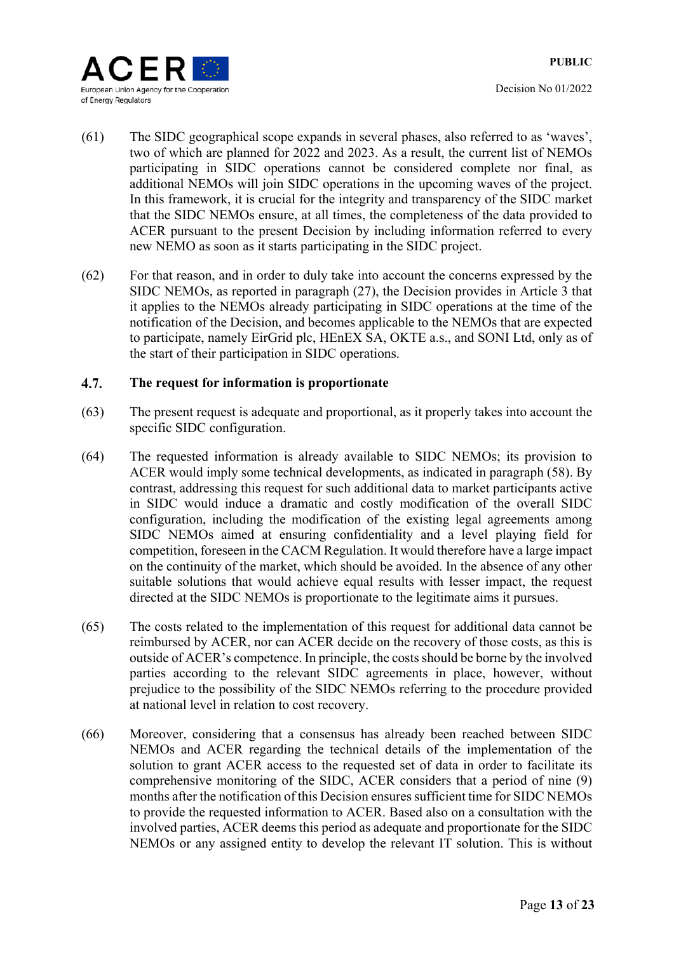

- (61) The SIDC geographical scope expands in several phases, also referred to as 'waves', two of which are planned for 2022 and 2023. As a result, the current list of NEMOs participating in SIDC operations cannot be considered complete nor final, as additional NEMOs will join SIDC operations in the upcoming waves of the project. In this framework, it is crucial for the integrity and transparency of the SIDC market that the SIDC NEMOs ensure, at all times, the completeness of the data provided to ACER pursuant to the present Decision by including information referred to every new NEMO as soon as it starts participating in the SIDC project.
- (62) For that reason, and in order to duly take into account the concerns expressed by the SIDC NEMOs, as reported in paragraph (27), the Decision provides in Article 3 that it applies to the NEMOs already participating in SIDC operations at the time of the notification of the Decision, and becomes applicable to the NEMOs that are expected to participate, namely EirGrid plc, HEnEX SA, OKTE a.s., and SONI Ltd, only as of the start of their participation in SIDC operations.

#### 4.7. **The request for information is proportionate**

- (63) The present request is adequate and proportional, as it properly takes into account the specific SIDC configuration.
- (64) The requested information is already available to SIDC NEMOs; its provision to ACER would imply some technical developments, as indicated in paragraph (58). By contrast, addressing this request for such additional data to market participants active in SIDC would induce a dramatic and costly modification of the overall SIDC configuration, including the modification of the existing legal agreements among SIDC NEMOs aimed at ensuring confidentiality and a level playing field for competition, foreseen in the CACM Regulation. It would therefore have a large impact on the continuity of the market, which should be avoided. In the absence of any other suitable solutions that would achieve equal results with lesser impact, the request directed at the SIDC NEMOs is proportionate to the legitimate aims it pursues.
- (65) The costs related to the implementation of this request for additional data cannot be reimbursed by ACER, nor can ACER decide on the recovery of those costs, as this is outside of ACER's competence. In principle, the costs should be borne by the involved parties according to the relevant SIDC agreements in place, however, without prejudice to the possibility of the SIDC NEMOs referring to the procedure provided at national level in relation to cost recovery.
- (66) Moreover, considering that a consensus has already been reached between SIDC NEMOs and ACER regarding the technical details of the implementation of the solution to grant ACER access to the requested set of data in order to facilitate its comprehensive monitoring of the SIDC, ACER considers that a period of nine (9) months after the notification of this Decision ensures sufficient time for SIDC NEMOs to provide the requested information to ACER. Based also on a consultation with the involved parties, ACER deems this period as adequate and proportionate for the SIDC NEMOs or any assigned entity to develop the relevant IT solution. This is without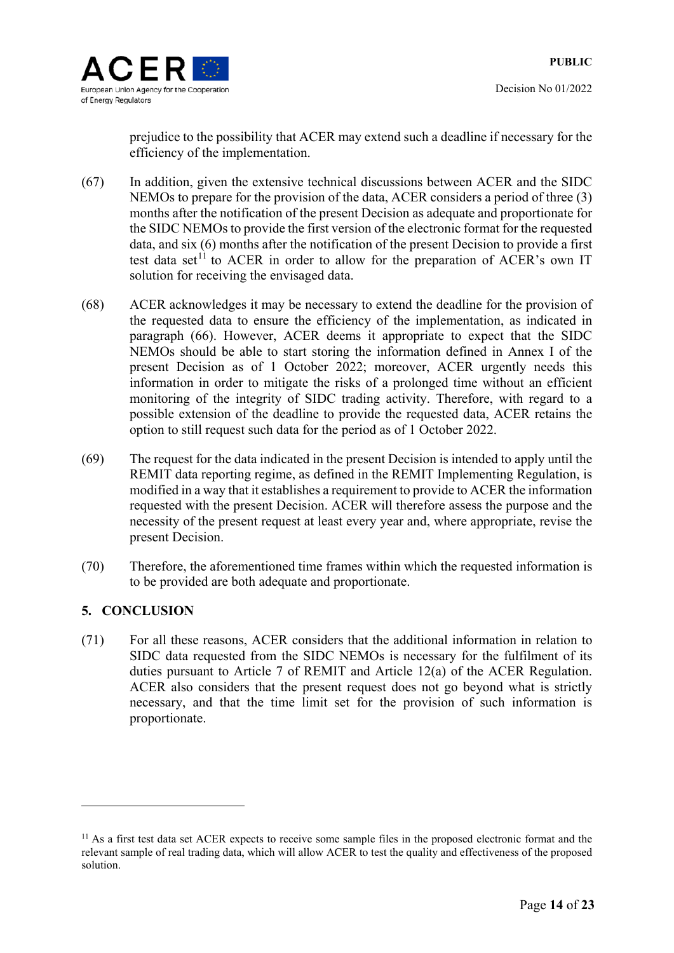

Decision No 01/2022

prejudice to the possibility that ACER may extend such a deadline if necessary for the efficiency of the implementation.

- (67) In addition, given the extensive technical discussions between ACER and the SIDC NEMOs to prepare for the provision of the data, ACER considers a period of three (3) months after the notification of the present Decision as adequate and proportionate for the SIDC NEMOs to provide the first version of the electronic format for the requested data, and six (6) months after the notification of the present Decision to provide a first test data set<sup>11</sup> to ACER in order to allow for the preparation of ACER's own IT solution for receiving the envisaged data.
- (68) ACER acknowledges it may be necessary to extend the deadline for the provision of the requested data to ensure the efficiency of the implementation, as indicated in paragraph (66). However, ACER deems it appropriate to expect that the SIDC NEMOs should be able to start storing the information defined in Annex I of the present Decision as of 1 October 2022; moreover, ACER urgently needs this information in order to mitigate the risks of a prolonged time without an efficient monitoring of the integrity of SIDC trading activity. Therefore, with regard to a possible extension of the deadline to provide the requested data, ACER retains the option to still request such data for the period as of 1 October 2022.
- (69) The request for the data indicated in the present Decision is intended to apply until the REMIT data reporting regime, as defined in the REMIT Implementing Regulation, is modified in a way that it establishes a requirement to provide to ACER the information requested with the present Decision. ACER will therefore assess the purpose and the necessity of the present request at least every year and, where appropriate, revise the present Decision.
- (70) Therefore, the aforementioned time frames within which the requested information is to be provided are both adequate and proportionate.

# **5. CONCLUSION**

1

(71) For all these reasons, ACER considers that the additional information in relation to SIDC data requested from the SIDC NEMOs is necessary for the fulfilment of its duties pursuant to Article 7 of REMIT and Article 12(a) of the ACER Regulation. ACER also considers that the present request does not go beyond what is strictly necessary, and that the time limit set for the provision of such information is proportionate.

<sup>&</sup>lt;sup>11</sup> As a first test data set ACER expects to receive some sample files in the proposed electronic format and the relevant sample of real trading data, which will allow ACER to test the quality and effectiveness of the proposed solution.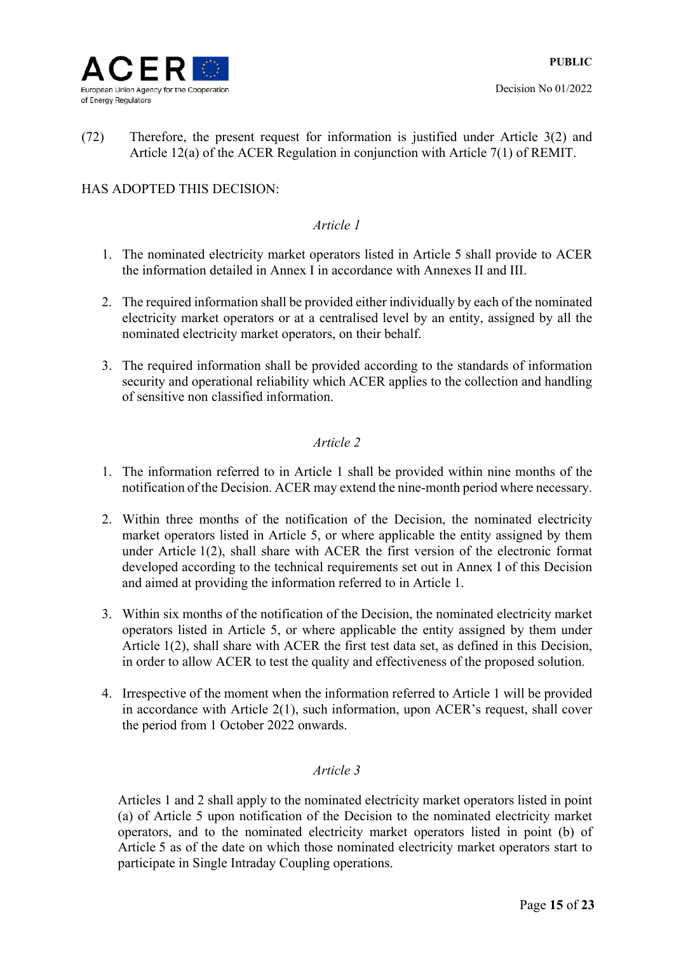

(72) Therefore, the present request for information is justified under Article 3(2) and Article 12(a) of the ACER Regulation in conjunction with Article 7(1) of REMIT.

# HAS ADOPTED THIS DECISION:

# *Article 1*

- 1. The nominated electricity market operators listed in Article 5 shall provide to ACER the information detailed in Annex I in accordance with Annexes II and III.
- 2. The required information shall be provided either individually by each of the nominated electricity market operators or at a centralised level by an entity, assigned by all the nominated electricity market operators, on their behalf.
- 3. The required information shall be provided according to the standards of information security and operational reliability which ACER applies to the collection and handling of sensitive non classified information.

# *Article 2*

- 1. The information referred to in Article 1 shall be provided within nine months of the notification of the Decision. ACER may extend the nine-month period where necessary.
- 2. Within three months of the notification of the Decision, the nominated electricity market operators listed in Article 5, or where applicable the entity assigned by them under Article 1(2), shall share with ACER the first version of the electronic format developed according to the technical requirements set out in Annex I of this Decision and aimed at providing the information referred to in Article 1.
- 3. Within six months of the notification of the Decision, the nominated electricity market operators listed in Article 5, or where applicable the entity assigned by them under Article 1(2), shall share with ACER the first test data set, as defined in this Decision, in order to allow ACER to test the quality and effectiveness of the proposed solution.
- 4. Irrespective of the moment when the information referred to Article 1 will be provided in accordance with Article 2(1), such information, upon ACER's request, shall cover the period from 1 October 2022 onwards.

### *Article 3*

Articles 1 and 2 shall apply to the nominated electricity market operators listed in point (a) of Article 5 upon notification of the Decision to the nominated electricity market operators, and to the nominated electricity market operators listed in point (b) of Article 5 as of the date on which those nominated electricity market operators start to participate in Single Intraday Coupling operations.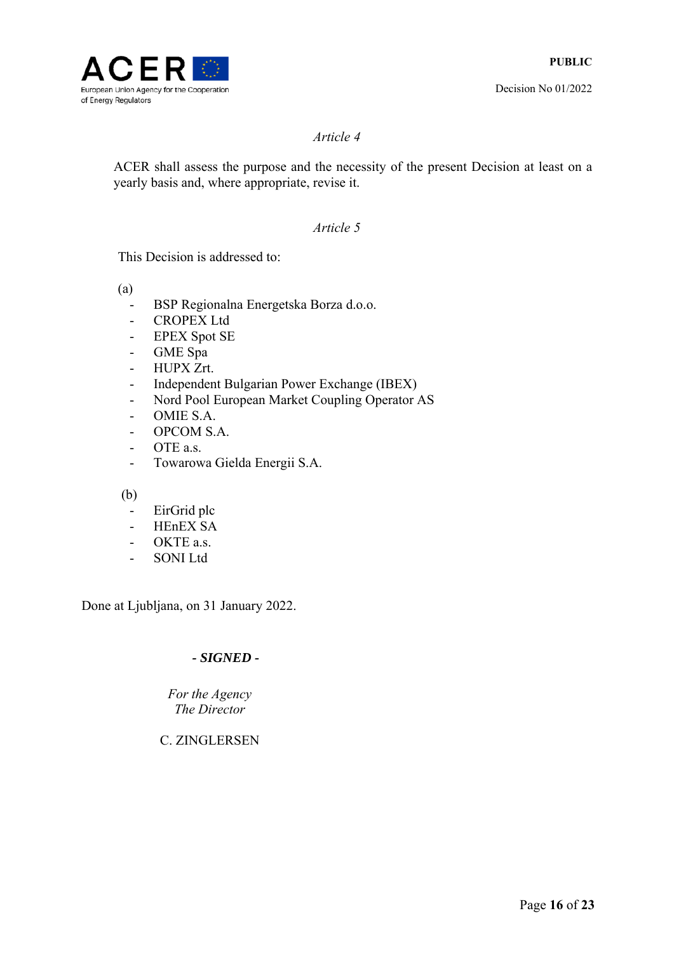

### *Article 4*

ACER shall assess the purpose and the necessity of the present Decision at least on a yearly basis and, where appropriate, revise it.

### *Article 5*

This Decision is addressed to:

(a)

- BSP Regionalna Energetska Borza d.o.o.
- CROPEX Ltd
- EPEX Spot SE
- GME Spa
- HUPX Zrt.
- Independent Bulgarian Power Exchange (IBEX)
- Nord Pool European Market Coupling Operator AS
- OMIE S.A.
- OPCOM S.A.
- OTE a.s.
- Towarowa Gielda Energii S.A.

(b)

- EirGrid plc
- HEnEX SA
- OKTE a.s.
- SONI Ltd

Done at Ljubljana, on 31 January 2022.

# *- SIGNED -*

*Fоr the Agency The Director* 

C. ZINGLERSEN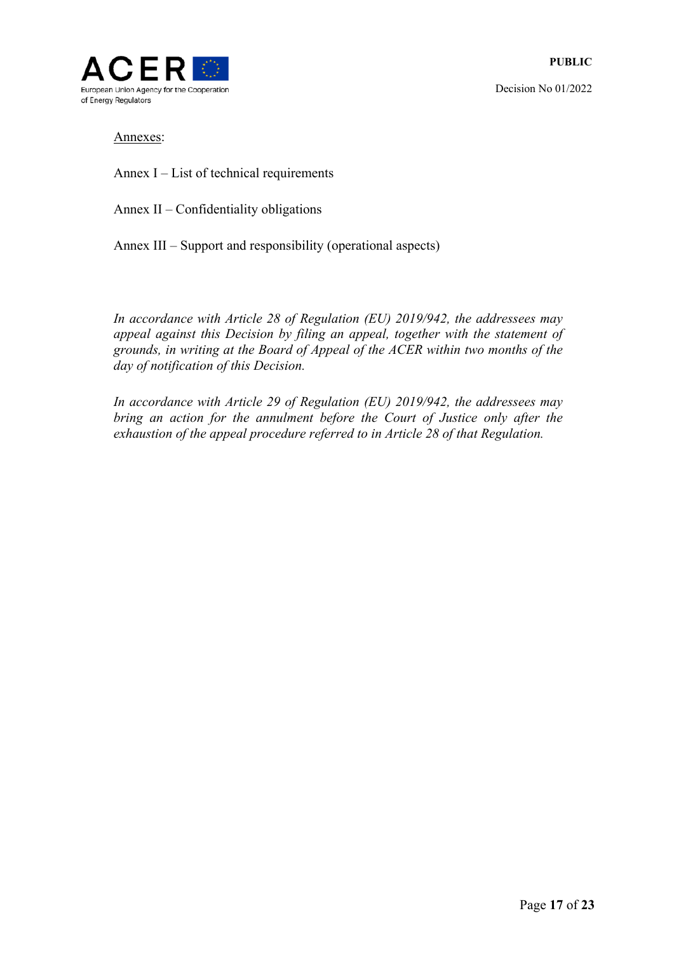

### Annexes:

Annex I – List of technical requirements

Annex II *–* Confidentiality obligations

Annex III – Support and responsibility (operational aspects)

*In accordance with Article 28 of Regulation (EU) 2019/942, the addressees may appeal against this Decision by filing an appeal, together with the statement of grounds, in writing at the Board of Appeal of the ACER within two months of the day of notification of this Decision.* 

*In accordance with Article 29 of Regulation (EU) 2019/942, the addressees may bring an action for the annulment before the Court of Justice only after the exhaustion of the appeal procedure referred to in Article 28 of that Regulation.*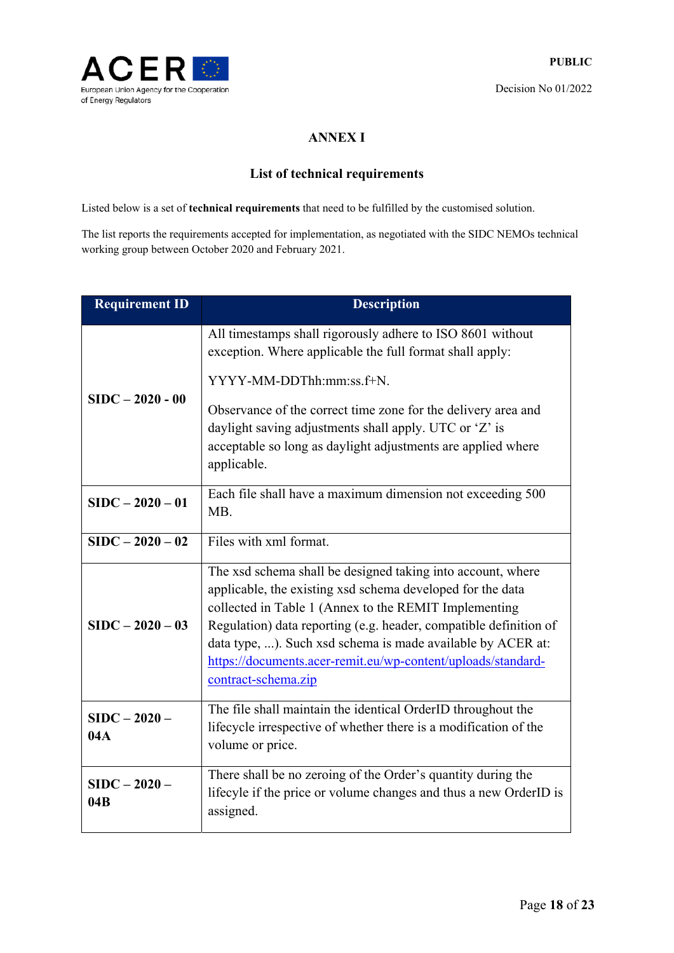

# **ANNEX I**

# **List of technical requirements**

Listed below is a set of **technical requirements** that need to be fulfilled by the customised solution.

The list reports the requirements accepted for implementation, as negotiated with the SIDC NEMOs technical working group between October 2020 and February 2021.

| <b>Requirement ID</b>  | <b>Description</b>                                                                                                                                                                                                                                                                                                                                                                                            |
|------------------------|---------------------------------------------------------------------------------------------------------------------------------------------------------------------------------------------------------------------------------------------------------------------------------------------------------------------------------------------------------------------------------------------------------------|
| $SIDC - 2020 - 00$     | All timestamps shall rigorously adhere to ISO 8601 without<br>exception. Where applicable the full format shall apply:                                                                                                                                                                                                                                                                                        |
|                        | YYYY-MM-DDThh:mm:ss.f+N.                                                                                                                                                                                                                                                                                                                                                                                      |
|                        | Observance of the correct time zone for the delivery area and<br>daylight saving adjustments shall apply. UTC or 'Z' is<br>acceptable so long as daylight adjustments are applied where<br>applicable.                                                                                                                                                                                                        |
| $SIDC - 2020 - 01$     | Each file shall have a maximum dimension not exceeding 500<br>MB.                                                                                                                                                                                                                                                                                                                                             |
| $SIDC - 2020 - 02$     | Files with xml format.                                                                                                                                                                                                                                                                                                                                                                                        |
| $SIDC - 2020 - 03$     | The xsd schema shall be designed taking into account, where<br>applicable, the existing xsd schema developed for the data<br>collected in Table 1 (Annex to the REMIT Implementing<br>Regulation) data reporting (e.g. header, compatible definition of<br>data type, ). Such xsd schema is made available by ACER at:<br>https://documents.acer-remit.eu/wp-content/uploads/standard-<br>contract-schema.zip |
| $SIDC - 2020 -$<br>04A | The file shall maintain the identical OrderID throughout the<br>lifecycle irrespective of whether there is a modification of the<br>volume or price.                                                                                                                                                                                                                                                          |
| $SIDC - 2020 -$<br>04B | There shall be no zeroing of the Order's quantity during the<br>lifecyle if the price or volume changes and thus a new OrderID is<br>assigned.                                                                                                                                                                                                                                                                |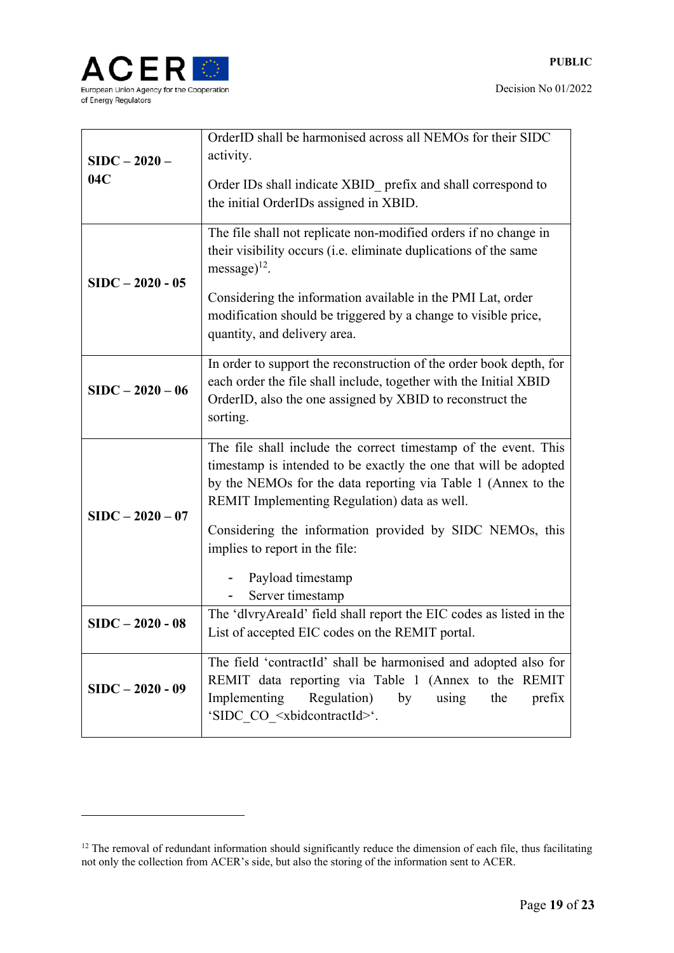

| $SIDC - 2020 -$<br>04C | OrderID shall be harmonised across all NEMOs for their SIDC<br>activity.                                                                                                                                                                             |
|------------------------|------------------------------------------------------------------------------------------------------------------------------------------------------------------------------------------------------------------------------------------------------|
|                        | Order IDs shall indicate XBID prefix and shall correspond to<br>the initial OrderIDs assigned in XBID.                                                                                                                                               |
| $SIDC - 2020 - 05$     | The file shall not replicate non-modified orders if no change in<br>their visibility occurs (i.e. eliminate duplications of the same<br>message $)^{12}$ .                                                                                           |
|                        | Considering the information available in the PMI Lat, order<br>modification should be triggered by a change to visible price,<br>quantity, and delivery area.                                                                                        |
| $SIDC - 2020 - 06$     | In order to support the reconstruction of the order book depth, for<br>each order the file shall include, together with the Initial XBID<br>OrderID, also the one assigned by XBID to reconstruct the<br>sorting.                                    |
| $SIDC - 2020 - 07$     | The file shall include the correct timestamp of the event. This<br>timestamp is intended to be exactly the one that will be adopted<br>by the NEMOs for the data reporting via Table 1 (Annex to the<br>REMIT Implementing Regulation) data as well. |
|                        | Considering the information provided by SIDC NEMOs, this<br>implies to report in the file:<br>Payload timestamp<br>Server timestamp                                                                                                                  |
| $SIDC - 2020 - 08$     | The 'dlvryAreaId' field shall report the EIC codes as listed in the<br>List of accepted EIC codes on the REMIT portal.                                                                                                                               |
| $SIDC - 2020 - 09$     | The field 'contractId' shall be harmonised and adopted also for<br>REMIT data reporting via Table 1 (Annex to the REMIT<br>Implementing<br>Regulation)<br>using<br>by<br>the<br>prefix<br>'SIDC_CO_ <xbidcontractid>'.</xbidcontractid>              |

<sup>&</sup>lt;sup>12</sup> The removal of redundant information should significantly reduce the dimension of each file, thus facilitating not only the collection from ACER's side, but also the storing of the information sent to ACER.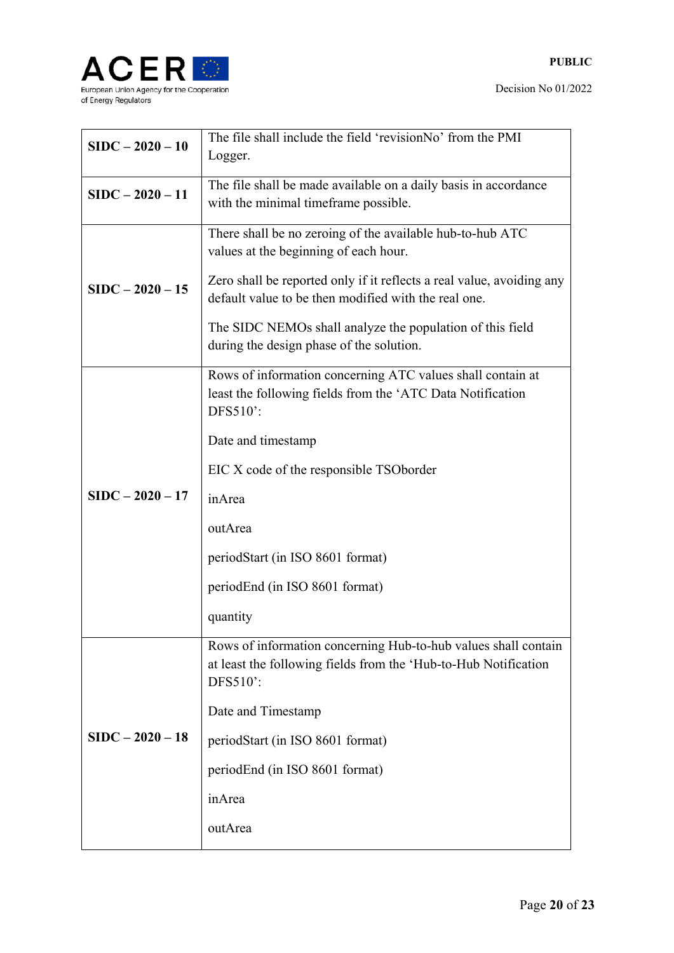

| $SIDC - 2020 - 10$ | The file shall include the field 'revisionNo' from the PMI<br>Logger.                                                                                                                                                                                                                                                                        |
|--------------------|----------------------------------------------------------------------------------------------------------------------------------------------------------------------------------------------------------------------------------------------------------------------------------------------------------------------------------------------|
| $SIDC - 2020 - 11$ | The file shall be made available on a daily basis in accordance<br>with the minimal timeframe possible.                                                                                                                                                                                                                                      |
| $SIDC - 2020 - 15$ | There shall be no zeroing of the available hub-to-hub ATC<br>values at the beginning of each hour.<br>Zero shall be reported only if it reflects a real value, avoiding any<br>default value to be then modified with the real one.<br>The SIDC NEMOs shall analyze the population of this field<br>during the design phase of the solution. |
| $SIDC - 2020 - 17$ | Rows of information concerning ATC values shall contain at<br>least the following fields from the 'ATC Data Notification<br>DFS510':<br>Date and timestamp<br>EIC X code of the responsible TSOborder<br>inArea<br>outArea<br>periodStart (in ISO 8601 format)<br>periodEnd (in ISO 8601 format)<br>quantity                                 |
| $SIDC - 2020 - 18$ | Rows of information concerning Hub-to-hub values shall contain<br>at least the following fields from the 'Hub-to-Hub Notification<br>DFS510':<br>Date and Timestamp<br>periodStart (in ISO 8601 format)<br>periodEnd (in ISO 8601 format)<br>inArea<br>outArea                                                                               |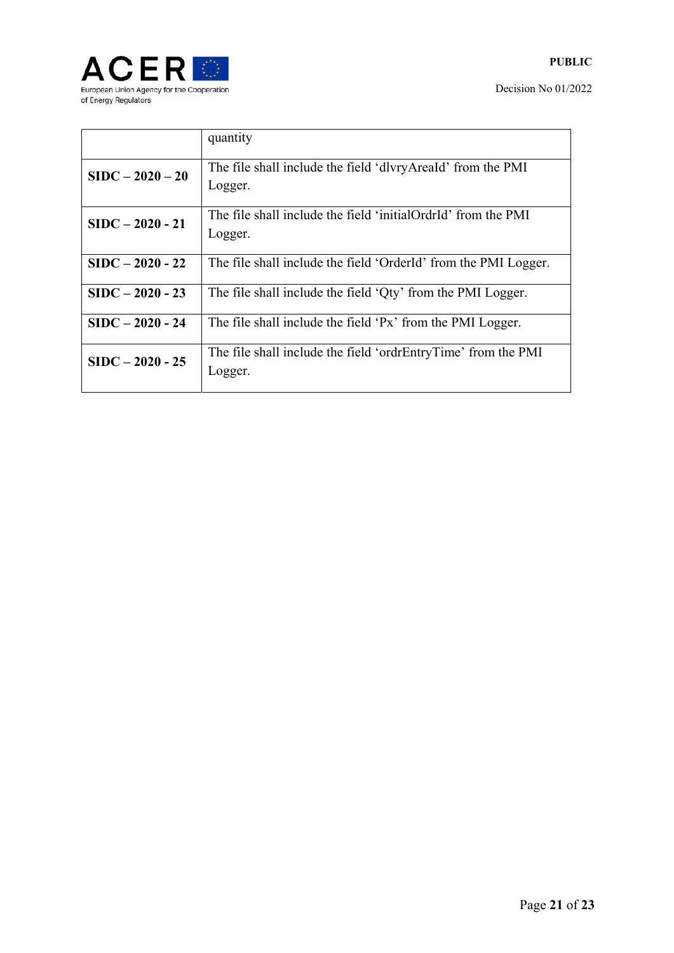

|                    | quantity                                                                 |
|--------------------|--------------------------------------------------------------------------|
| $SIDC - 2020 - 20$ | The file shall include the field 'dlvryAreaId' from the PMI<br>Logger.   |
| $SIDC - 2020 - 21$ | The file shall include the field 'initialOrdrId' from the PMI<br>Logger. |
| $SIDC - 2020 - 22$ | The file shall include the field 'OrderId' from the PMI Logger.          |
| $SIDC - 2020 - 23$ | The file shall include the field 'Qty' from the PMI Logger.              |
| $SIDC - 2020 - 24$ | The file shall include the field 'Px' from the PMI Logger.               |
| $SIDC - 2020 - 25$ | The file shall include the field 'ordrEntryTime' from the PMI<br>Logger. |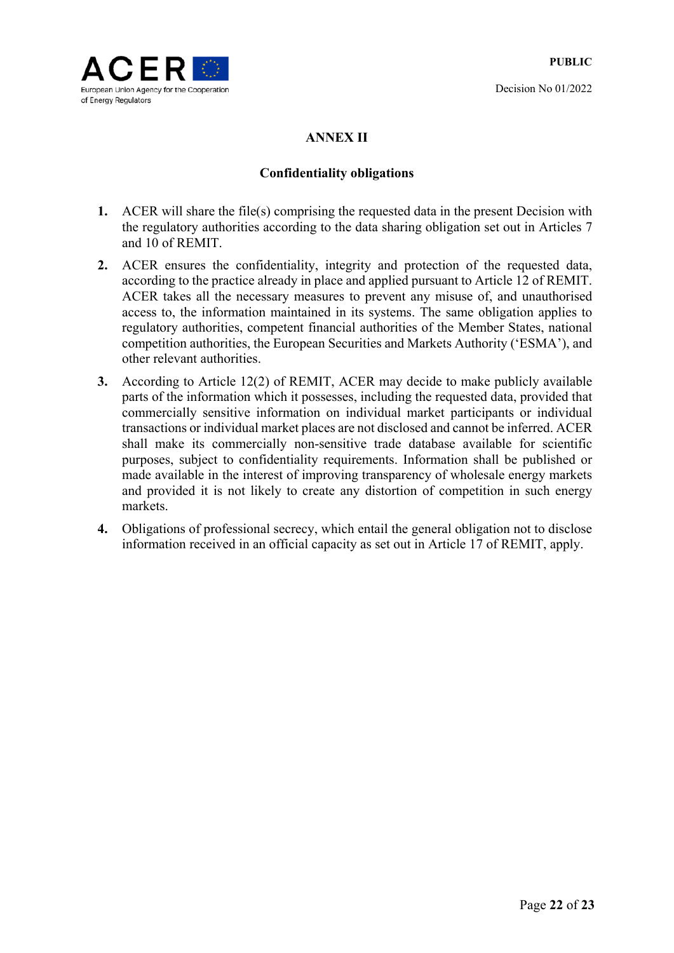

# **ANNEX II**

# **Confidentiality obligations**

- **1.** ACER will share the file(s) comprising the requested data in the present Decision with the regulatory authorities according to the data sharing obligation set out in Articles 7 and 10 of REMIT.
- **2.** ACER ensures the confidentiality, integrity and protection of the requested data, according to the practice already in place and applied pursuant to Article 12 of REMIT. ACER takes all the necessary measures to prevent any misuse of, and unauthorised access to, the information maintained in its systems. The same obligation applies to regulatory authorities, competent financial authorities of the Member States, national competition authorities, the European Securities and Markets Authority ('ESMA'), and other relevant authorities.
- **3.** According to Article 12(2) of REMIT, ACER may decide to make publicly available parts of the information which it possesses, including the requested data, provided that commercially sensitive information on individual market participants or individual transactions or individual market places are not disclosed and cannot be inferred. ACER shall make its commercially non-sensitive trade database available for scientific purposes, subject to confidentiality requirements. Information shall be published or made available in the interest of improving transparency of wholesale energy markets and provided it is not likely to create any distortion of competition in such energy markets.
- **4.** Obligations of professional secrecy, which entail the general obligation not to disclose information received in an official capacity as set out in Article 17 of REMIT, apply.